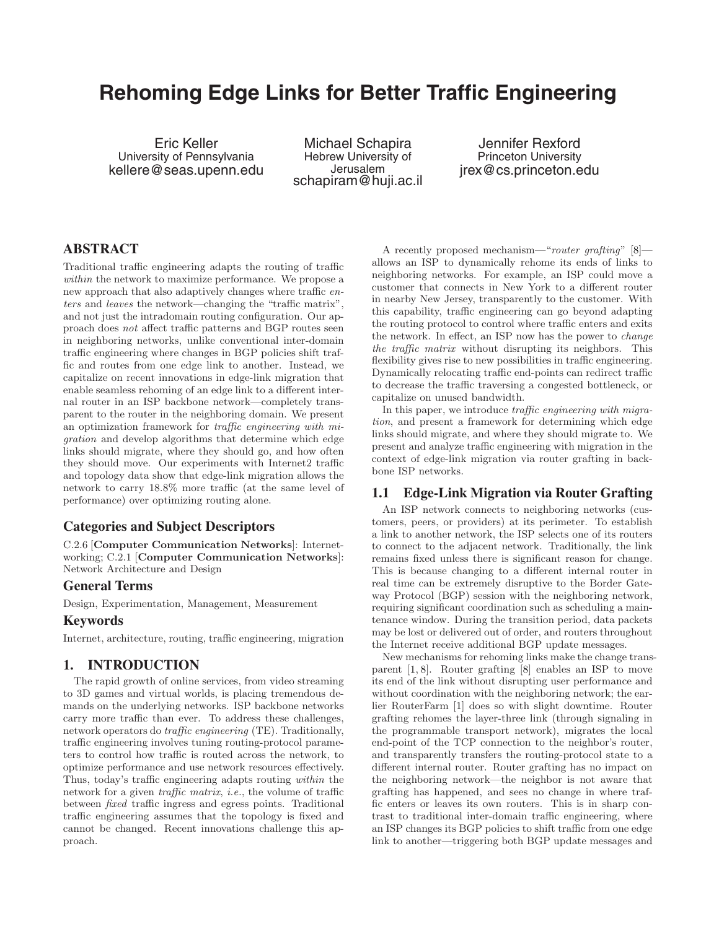# **Rehoming Edge Links for Better Traffic Engineering**

Eric Keller University of Pennsylvania kellere@seas.upenn.edu

Michael Schapira Hebrew University of Jerusalem schapiram@huji.ac.il

Jennifer Rexford Princeton University jrex@cs.princeton.edu

# **ABSTRACT**

Traditional traffic engineering adapts the routing of traffic within the network to maximize performance. We propose a new approach that also adaptively changes where traffic enters and leaves the network—changing the "traffic matrix", and not just the intradomain routing configuration. Our approach does not affect traffic patterns and BGP routes seen in neighboring networks, unlike conventional inter-domain traffic engineering where changes in BGP policies shift traffic and routes from one edge link to another. Instead, we capitalize on recent innovations in edge-link migration that enable seamless rehoming of an edge link to a different internal router in an ISP backbone network—completely transparent to the router in the neighboring domain. We present an optimization framework for traffic engineering with migration and develop algorithms that determine which edge links should migrate, where they should go, and how often they should move. Our experiments with Internet2 traffic and topology data show that edge-link migration allows the network to carry 18.8% more traffic (at the same level of performance) over optimizing routing alone.

# **Categories and Subject Descriptors**

C.2.6 [**Computer Communication Networks**]: Internetworking; C.2.1 [**Computer Communication Networks**]: Network Architecture and Design

## **General Terms**

Design, Experimentation, Management, Measurement

#### **Keywords**

Internet, architecture, routing, traffic engineering, migration

## **1. INTRODUCTION**

The rapid growth of online services, from video streaming to 3D games and virtual worlds, is placing tremendous demands on the underlying networks. ISP backbone networks carry more traffic than ever. To address these challenges, network operators do traffic engineering (TE). Traditionally, traffic engineering involves tuning routing-protocol parameters to control how traffic is routed across the network, to optimize performance and use network resources effectively. Thus, today's traffic engineering adapts routing within the network for a given traffic matrix, i.e., the volume of traffic between fixed traffic ingress and egress points. Traditional traffic engineering assumes that the topology is fixed and cannot be changed. Recent innovations challenge this approach.

A recently proposed mechanism—"router grafting" [\[8\]](#page-5-0) allows an ISP to dynamically rehome its ends of links to neighboring networks. For example, an ISP could move a customer that connects in New York to a different router in nearby New Jersey, transparently to the customer. With this capability, traffic engineering can go beyond adapting the routing protocol to control where traffic enters and exits the network. In effect, an ISP now has the power to change the traffic matrix without disrupting its neighbors. This flexibility gives rise to new possibilities in traffic engineering. Dynamically relocating traffic end-points can redirect traffic to decrease the traffic traversing a congested bottleneck, or capitalize on unused bandwidth.

In this paper, we introduce traffic engineering with migration, and present a framework for determining which edge links should migrate, and where they should migrate to. We present and analyze traffic engineering with migration in the context of edge-link migration via router grafting in backbone ISP networks.

# **1.1 Edge-Link Migration via Router Grafting**

An ISP network connects to neighboring networks (customers, peers, or providers) at its perimeter. To establish a link to another network, the ISP selects one of its routers to connect to the adjacent network. Traditionally, the link remains fixed unless there is significant reason for change. This is because changing to a different internal router in real time can be extremely disruptive to the Border Gateway Protocol (BGP) session with the neighboring network, requiring significant coordination such as scheduling a maintenance window. During the transition period, data packets may be lost or delivered out of order, and routers throughout the Internet receive additional BGP update messages.

New mechanisms for rehoming links make the change transparent [\[1,](#page-5-1) [8\]](#page-5-0). Router grafting [\[8\]](#page-5-0) enables an ISP to move its end of the link without disrupting user performance and without coordination with the neighboring network; the earlier RouterFarm [\[1\]](#page-5-1) does so with slight downtime. Router grafting rehomes the layer-three link (through signaling in the programmable transport network), migrates the local end-point of the TCP connection to the neighbor's router, and transparently transfers the routing-protocol state to a different internal router. Router grafting has no impact on the neighboring network—the neighbor is not aware that grafting has happened, and sees no change in where traffic enters or leaves its own routers. This is in sharp contrast to traditional inter-domain traffic engineering, where an ISP changes its BGP policies to shift traffic from one edge link to another—triggering both BGP update messages and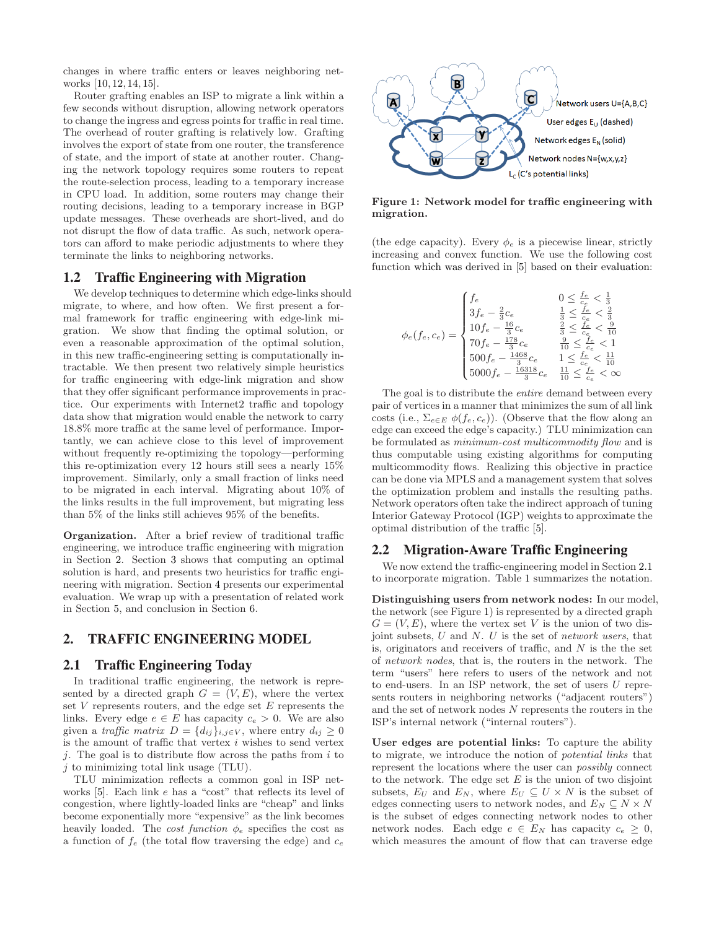changes in where traffic enters or leaves neighboring networks [\[10,](#page-5-2) [12,](#page-5-3) [14,](#page-5-4) [15\]](#page-5-5).

Router grafting enables an ISP to migrate a link within a few seconds without disruption, allowing network operators to change the ingress and egress points for traffic in real time. The overhead of router grafting is relatively low. Grafting involves the export of state from one router, the transference of state, and the import of state at another router. Changing the network topology requires some routers to repeat the route-selection process, leading to a temporary increase in CPU load. In addition, some routers may change their routing decisions, leading to a temporary increase in BGP update messages. These overheads are short-lived, and do not disrupt the flow of data traffic. As such, network operators can afford to make periodic adjustments to where they terminate the links to neighboring networks.

#### **1.2 Traffic Engineering with Migration**

We develop techniques to determine which edge-links should migrate, to where, and how often. We first present a formal framework for traffic engineering with edge-link migration. We show that finding the optimal solution, or even a reasonable approximation of the optimal solution, in this new traffic-engineering setting is computationally intractable. We then present two relatively simple heuristics for traffic engineering with edge-link migration and show that they offer significant performance improvements in practice. Our experiments with Internet2 traffic and topology data show that migration would enable the network to carry 18.8% more traffic at the same level of performance. Importantly, we can achieve close to this level of improvement without frequently re-optimizing the topology—performing this re-optimization every 12 hours still sees a nearly 15% improvement. Similarly, only a small fraction of links need to be migrated in each interval. Migrating about 10% of the links results in the full improvement, but migrating less than 5% of the links still achieves 95% of the benefits.

**Organization.** After a brief review of traditional traffic engineering, we introduce traffic engineering with migration in Section [2.](#page-1-0) Section [3](#page-2-0) shows that computing an optimal solution is hard, and presents two heuristics for traffic engineering with migration. Section [4](#page-3-0) presents our experimental evaluation. We wrap up with a presentation of related work in Section [5,](#page-5-6) and conclusion in Section [6.](#page-5-7)

# <span id="page-1-0"></span>**2. TRAFFIC ENGINEERING MODEL**

#### <span id="page-1-1"></span>**2.1 Traffic Engineering Today**

In traditional traffic engineering, the network is represented by a directed graph  $G = (V, E)$ , where the vertex set  $V$  represents routers, and the edge set  $E$  represents the links. Every edge  $e \in E$  has capacity  $c_e > 0$ . We are also given a traffic matrix  $D = \{d_{ij}\}_{i,j \in V}$ , where entry  $d_{ij} \geq 0$ is the amount of traffic that vertex  $i$  wishes to send vertex j. The goal is to distribute flow across the paths from  $i$  to  $j$  to minimizing total link usage (TLU).

TLU minimization reflects a common goal in ISP networks [\[5\]](#page-5-8). Each link e has a "cost" that reflects its level of congestion, where lightly-loaded links are "cheap" and links become exponentially more "expensive" as the link becomes heavily loaded. The *cost function*  $\phi_e$  specifies the cost as a function of f*<sup>e</sup>* (the total flow traversing the edge) and c*<sup>e</sup>*



<span id="page-1-2"></span>**Figure 1: Network model for traffic engineering with migration.**

(the edge capacity). Every  $\phi_e$  is a piecewise linear, strictly increasing and convex function. We use the following cost function which was derived in [\[5\]](#page-5-8) based on their evaluation:

$$
\phi_e(f_e, c_e) = \begin{cases} f_e & 0 \leq \frac{f_e}{c_e} < \frac{1}{3} \\ 3f_e - \frac{2}{3}c_e & \frac{1}{3} \leq \frac{f_e}{c_e} < \frac{2}{3} \\ 10f_e - \frac{16}{3}c_e & \frac{2}{3} \leq \frac{f_e}{c_e} < \frac{9}{10} \\ 70f_e - \frac{178}{3}c_e & \frac{9}{10} \leq \frac{f_e}{c_e} < 1 \\ 500f_e - \frac{1468}{3}c_e & 1 \leq \frac{f_e}{c_e} < \frac{11}{10} \\ 5000f_e - \frac{16318}{3}c_e & \frac{11}{10} \leq \frac{f_e}{c_e} < \infty \end{cases}
$$

The goal is to distribute the entire demand between every pair of vertices in a manner that minimizes the sum of all link costs (i.e.,  $\Sigma_{e \in E}$   $\phi(f_e, c_e)$ ). (Observe that the flow along an edge can exceed the edge's capacity.) TLU minimization can be formulated as minimum-cost multicommodity flow and is thus computable using existing algorithms for computing multicommodity flows. Realizing this objective in practice can be done via MPLS and a management system that solves the optimization problem and installs the resulting paths. Network operators often take the indirect approach of tuning Interior Gateway Protocol (IGP) weights to approximate the optimal distribution of the traffic [\[5\]](#page-5-8).

#### **2.2 Migration-Aware Traffic Engineering**

We now extend the traffic-engineering model in Section [2.1](#page-1-1) to incorporate migration. Table [1](#page-2-1) summarizes the notation.

**Distinguishing users from network nodes:** In our model, the network (see Figure [1\)](#page-1-2) is represented by a directed graph  $G = (V, E)$ , where the vertex set V is the union of two disjoint subsets,  $U$  and  $N$ .  $U$  is the set of *network users*, that is, originators and receivers of traffic, and  $N$  is the the set of network nodes, that is, the routers in the network. The term "users" here refers to users of the network and not to end-users. In an ISP network, the set of users  $U$  represents routers in neighboring networks ("adjacent routers") and the set of network nodes  $N$  represents the routers in the ISP's internal network ("internal routers").

**User edges are potential links:** To capture the ability to migrate, we introduce the notion of potential links that represent the locations where the user can possibly connect to the network. The edge set  $E$  is the union of two disjoint subsets,  $E_U$  and  $E_N$ , where  $E_U \subseteq U \times N$  is the subset of edges connecting users to network nodes, and  $E_N \subseteq N \times N$ is the subset of edges connecting network nodes to other network nodes. Each edge  $e \in E_N$  has capacity  $c_e \geq 0$ , which measures the amount of flow that can traverse edge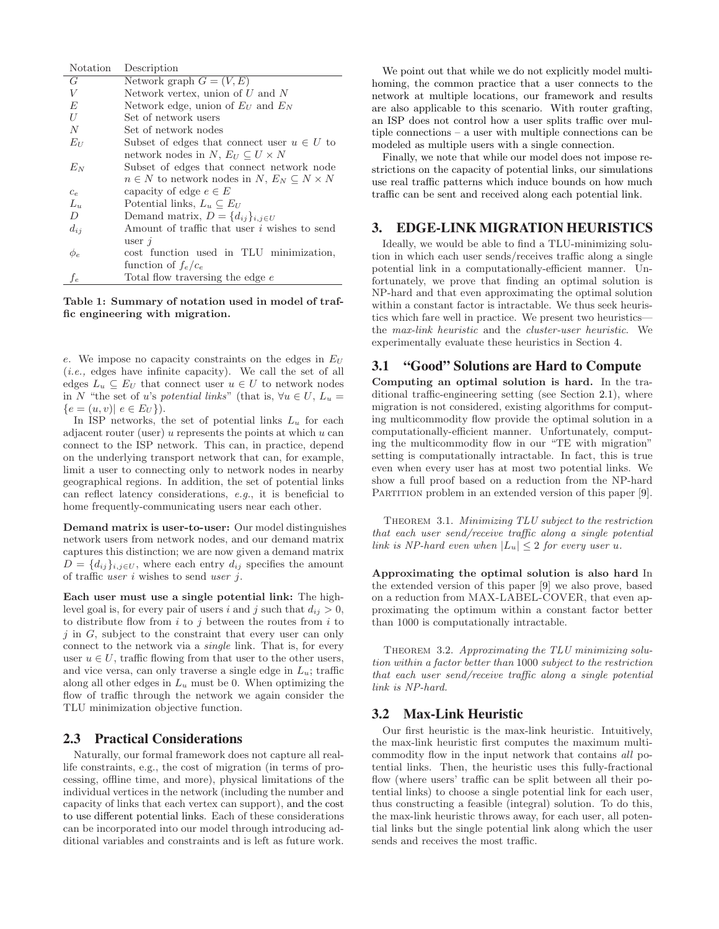| Notation       | Description                                                 |  |  |  |
|----------------|-------------------------------------------------------------|--|--|--|
| G              | Network graph $G = (V, E)$                                  |  |  |  |
| V              | Network vertex, union of $U$ and $N$                        |  |  |  |
| E              | Network edge, union of $E_U$ and $E_N$                      |  |  |  |
| U              | Set of network users                                        |  |  |  |
| $\overline{N}$ | Set of network nodes                                        |  |  |  |
| $E_U$          | Subset of edges that connect user $u \in U$ to              |  |  |  |
|                | network nodes in N, $E_U \subseteq U \times N$              |  |  |  |
| $E_N$          | Subset of edges that connect network node                   |  |  |  |
|                | $n \in N$ to network nodes in $N, E_N \subseteq N \times N$ |  |  |  |
| $c_{e}$        | capacity of edge $e \in E$                                  |  |  |  |
| $L_u$          | Potential links, $L_u \subset E_U$                          |  |  |  |
| D              | Demand matrix, $D = \{d_{ij}\}_{i,j \in U}$                 |  |  |  |
| $d_{ij}$       | Amount of traffic that user i wishes to send                |  |  |  |
|                | user $i$                                                    |  |  |  |
| $\phi_e$       | cost function used in TLU minimization,                     |  |  |  |
|                | function of $f_e/c_e$                                       |  |  |  |
| $f_e$          | Total flow traversing the edge e                            |  |  |  |

<span id="page-2-1"></span>**Table 1: Summary of notation used in model of traffic engineering with migration.**

e. We impose no capacity constraints on the edges in  $E_U$ (i.e., edges have infinite capacity). We call the set of all edges  $L_u \subseteq E_U$  that connect user  $u \in U$  to network nodes in N "the set of u's potential links" (that is,  $\forall u \in U$ ,  $L_u$  =  ${e = (u, v) | e \in E_U}$ .

In ISP networks, the set of potential links  $L<sub>u</sub>$  for each adjacent router (user)  $u$  represents the points at which  $u$  can connect to the ISP network. This can, in practice, depend on the underlying transport network that can, for example, limit a user to connecting only to network nodes in nearby geographical regions. In addition, the set of potential links can reflect latency considerations, e.g., it is beneficial to home frequently-communicating users near each other.

**Demand matrix is user-to-user:** Our model distinguishes network users from network nodes, and our demand matrix captures this distinction; we are now given a demand matrix  $D = \{d_{ij}\}_{i,j \in U}$ , where each entry  $d_{ij}$  specifies the amount of traffic user  $i$  wishes to send user  $j$ .

**Each user must use a single potential link:** The highlevel goal is, for every pair of users i and j such that  $d_{ij} > 0$ , to distribute flow from  $i$  to  $j$  between the routes from  $i$  to  $j$  in  $G$ , subject to the constraint that every user can only connect to the network via a single link. That is, for every user  $u \in U$ , traffic flowing from that user to the other users, and vice versa, can only traverse a single edge in L*u*; traffic along all other edges in  $L<sub>u</sub>$  must be 0. When optimizing the flow of traffic through the network we again consider the TLU minimization objective function.

## **2.3 Practical Considerations**

Naturally, our formal framework does not capture all reallife constraints, e.g., the cost of migration (in terms of processing, offline time, and more), physical limitations of the individual vertices in the network (including the number and capacity of links that each vertex can support), and the cost to use different potential links. Each of these considerations can be incorporated into our model through introducing additional variables and constraints and is left as future work.

We point out that while we do not explicitly model multihoming, the common practice that a user connects to the network at multiple locations, our framework and results are also applicable to this scenario. With router grafting, an ISP does not control how a user splits traffic over multiple connections – a user with multiple connections can be modeled as multiple users with a single connection.

Finally, we note that while our model does not impose restrictions on the capacity of potential links, our simulations use real traffic patterns which induce bounds on how much traffic can be sent and received along each potential link.

## <span id="page-2-0"></span>**3. EDGE-LINK MIGRATION HEURISTICS**

Ideally, we would be able to find a TLU-minimizing solution in which each user sends/receives traffic along a single potential link in a computationally-efficient manner. Unfortunately, we prove that finding an optimal solution is NP-hard and that even approximating the optimal solution within a constant factor is intractable. We thus seek heuristics which fare well in practice. We present two heuristics the max-link heuristic and the cluster-user heuristic. We experimentally evaluate these heuristics in Section [4.](#page-3-0)

# **3.1 "Good" Solutions are Hard to Compute**

**Computing an optimal solution is hard.** In the traditional traffic-engineering setting (see Section [2.1\)](#page-1-1), where migration is not considered, existing algorithms for computing multicommodity flow provide the optimal solution in a computationally-efficient manner. Unfortunately, computing the multicommodity flow in our "TE with migration" setting is computationally intractable. In fact, this is true even when every user has at most two potential links. We show a full proof based on a reduction from the NP-hard PARTITION problem in an extended version of this paper [\[9\]](#page-5-9).

THEOREM 3.1. Minimizing TLU subject to the restriction that each user send/receive traffic along a single potential link is NP-hard even when  $|L_u| \leq 2$  for every user u.

**Approximating the optimal solution is also hard** In the extended version of this paper [\[9\]](#page-5-9) we also prove, based on a reduction from MAX-LABEL-COVER, that even approximating the optimum within a constant factor better than 1000 is computationally intractable.

THEOREM 3.2. Approximating the TLU minimizing solution within a factor better than 1000 subject to the restriction that each user send/receive traffic along a single potential link is NP-hard.

#### **3.2 Max-Link Heuristic**

Our first heuristic is the max-link heuristic. Intuitively, the max-link heuristic first computes the maximum multicommodity flow in the input network that contains all potential links. Then, the heuristic uses this fully-fractional flow (where users' traffic can be split between all their potential links) to choose a single potential link for each user, thus constructing a feasible (integral) solution. To do this, the max-link heuristic throws away, for each user, all potential links but the single potential link along which the user sends and receives the most traffic.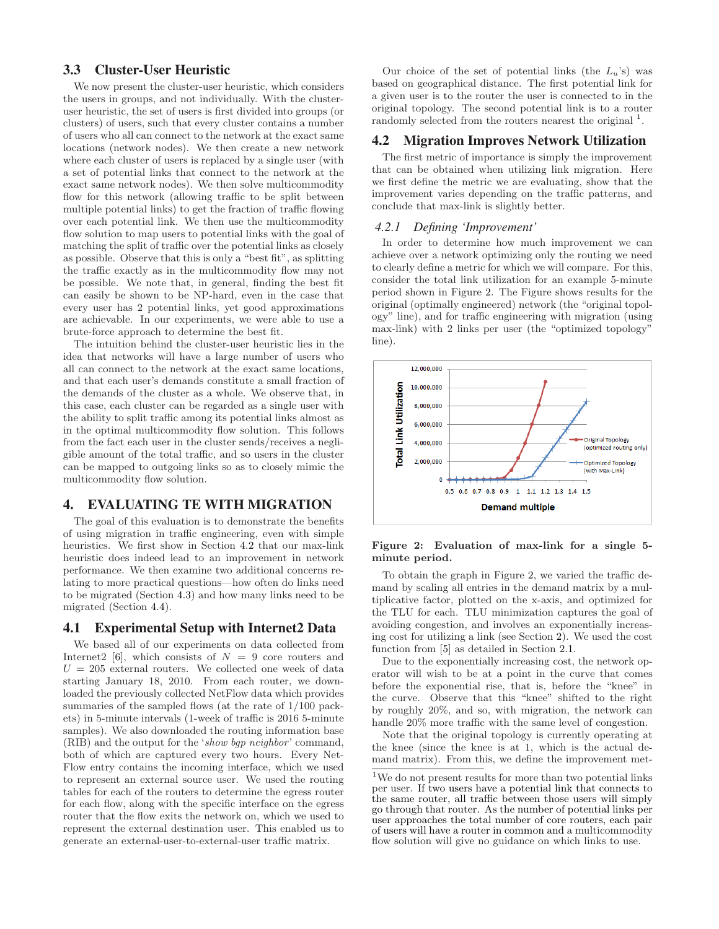# **3.3 Cluster-User Heuristic**

We now present the cluster-user heuristic, which considers the users in groups, and not individually. With the clusteruser heuristic, the set of users is first divided into groups (or clusters) of users, such that every cluster contains a number of users who all can connect to the network at the exact same locations (network nodes). We then create a new network where each cluster of users is replaced by a single user (with a set of potential links that connect to the network at the exact same network nodes). We then solve multicommodity flow for this network (allowing traffic to be split between multiple potential links) to get the fraction of traffic flowing over each potential link. We then use the multicommodity flow solution to map users to potential links with the goal of matching the split of traffic over the potential links as closely as possible. Observe that this is only a "best fit", as splitting the traffic exactly as in the multicommodity flow may not be possible. We note that, in general, finding the best fit can easily be shown to be NP-hard, even in the case that every user has 2 potential links, yet good approximations are achievable. In our experiments, we were able to use a brute-force approach to determine the best fit.

The intuition behind the cluster-user heuristic lies in the idea that networks will have a large number of users who all can connect to the network at the exact same locations, and that each user's demands constitute a small fraction of the demands of the cluster as a whole. We observe that, in this case, each cluster can be regarded as a single user with the ability to split traffic among its potential links almost as in the optimal multicommodity flow solution. This follows from the fact each user in the cluster sends/receives a negligible amount of the total traffic, and so users in the cluster can be mapped to outgoing links so as to closely mimic the multicommodity flow solution.

# <span id="page-3-0"></span>**4. EVALUATING TE WITH MIGRATION**

The goal of this evaluation is to demonstrate the benefits of using migration in traffic engineering, even with simple heuristics. We first show in Section [4.2](#page-3-1) that our max-link heuristic does indeed lead to an improvement in network performance. We then examine two additional concerns relating to more practical questions—how often do links need to be migrated (Section [4.3\)](#page-4-0) and how many links need to be migrated (Section [4.4\)](#page-4-1).

## **4.1 Experimental Setup with Internet2 Data**

We based all of our experiments on data collected from Internet2 [\[6\]](#page-5-10), which consists of  $N = 9$  core routers and  $U = 205$  external routers. We collected one week of data starting January 18, 2010. From each router, we downloaded the previously collected NetFlow data which provides summaries of the sampled flows (at the rate of 1/100 packets) in 5-minute intervals (1-week of traffic is 2016 5-minute samples). We also downloaded the routing information base (RIB) and the output for the 'show bgp neighbor' command, both of which are captured every two hours. Every Net-Flow entry contains the incoming interface, which we used to represent an external source user. We used the routing tables for each of the routers to determine the egress router for each flow, along with the specific interface on the egress router that the flow exits the network on, which we used to represent the external destination user. This enabled us to generate an external-user-to-external-user traffic matrix.

Our choice of the set of potential links (the  $L_u$ 's) was based on geographical distance. The first potential link for a given user is to the router the user is connected to in the original topology. The second potential link is to a router randomly selected from the routers nearest the original  $<sup>1</sup>$  $<sup>1</sup>$  $<sup>1</sup>$ .</sup>

## <span id="page-3-1"></span>**4.2 Migration Improves Network Utilization**

The first metric of importance is simply the improvement that can be obtained when utilizing link migration. Here we first define the metric we are evaluating, show that the improvement varies depending on the traffic patterns, and conclude that max-link is slightly better.

#### *4.2.1 Defining 'Improvement'*

In order to determine how much improvement we can achieve over a network optimizing only the routing we need to clearly define a metric for which we will compare. For this, consider the total link utilization for an example 5-minute period shown in Figure [2.](#page-3-3) The Figure shows results for the original (optimally engineered) network (the "original topology" line), and for traffic engineering with migration (using max-link) with 2 links per user (the "optimized topology" line).



#### <span id="page-3-3"></span>**Figure 2: Evaluation of max-link for a single 5 minute period.**

To obtain the graph in Figure [2,](#page-3-3) we varied the traffic demand by scaling all entries in the demand matrix by a multiplicative factor, plotted on the x-axis, and optimized for the TLU for each. TLU minimization captures the goal of avoiding congestion, and involves an exponentially increasing cost for utilizing a link (see Section [2\)](#page-1-0). We used the cost function from [\[5\]](#page-5-8) as detailed in Section [2.1.](#page-1-1)

Due to the exponentially increasing cost, the network operator will wish to be at a point in the curve that comes before the exponential rise, that is, before the "knee" in the curve. Observe that this "knee" shifted to the right by roughly 20%, and so, with migration, the network can handle 20% more traffic with the same level of congestion.

Note that the original topology is currently operating at the knee (since the knee is at 1, which is the actual demand matrix). From this, we define the improvement met-

<span id="page-3-2"></span><sup>&</sup>lt;sup>1</sup>We do not present results for more than two potential links per user. If two users have a potential link that connects to the same router, all traffic between those users will simply go through that router. As the number of potential links per user approaches the total number of core routers, each pair of users will have a router in common and a multicommodity flow solution will give no guidance on which links to use.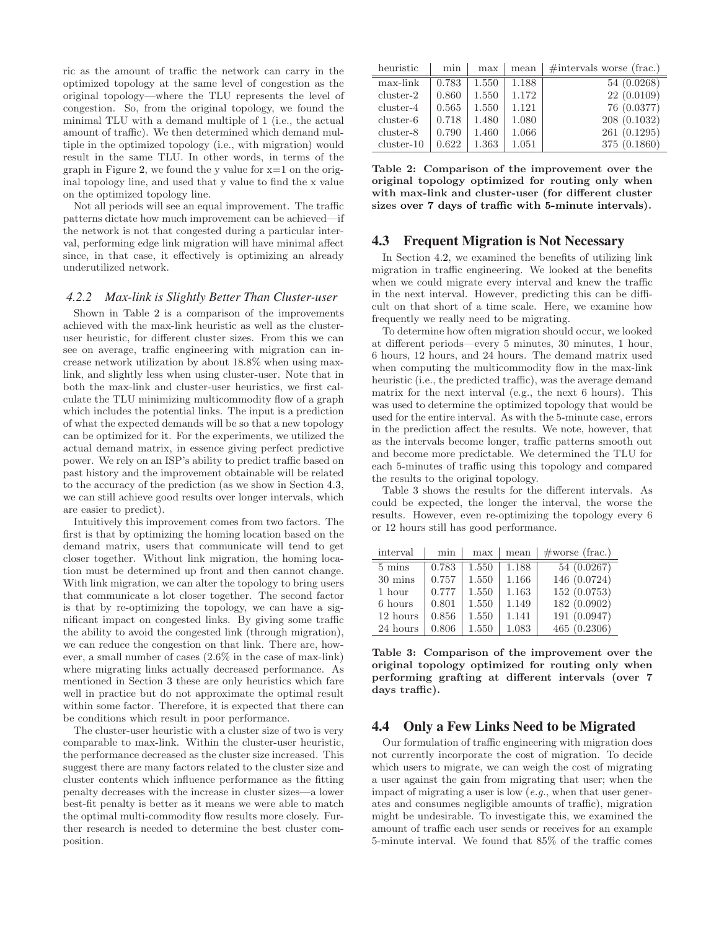ric as the amount of traffic the network can carry in the optimized topology at the same level of congestion as the original topology—where the TLU represents the level of congestion. So, from the original topology, we found the minimal TLU with a demand multiple of 1 (i.e., the actual amount of traffic). We then determined which demand multiple in the optimized topology (i.e., with migration) would result in the same TLU. In other words, in terms of the graph in Figure [2,](#page-3-3) we found the y value for  $x=1$  on the original topology line, and used that y value to find the x value on the optimized topology line.

Not all periods will see an equal improvement. The traffic patterns dictate how much improvement can be achieved—if the network is not that congested during a particular interval, performing edge link migration will have minimal affect since, in that case, it effectively is optimizing an already underutilized network.

# *4.2.2 Max-link is Slightly Better Than Cluster-user*

Shown in Table [2](#page-4-2) is a comparison of the improvements achieved with the max-link heuristic as well as the clusteruser heuristic, for different cluster sizes. From this we can see on average, traffic engineering with migration can increase network utilization by about 18.8% when using maxlink, and slightly less when using cluster-user. Note that in both the max-link and cluster-user heuristics, we first calculate the TLU minimizing multicommodity flow of a graph which includes the potential links. The input is a prediction of what the expected demands will be so that a new topology can be optimized for it. For the experiments, we utilized the actual demand matrix, in essence giving perfect predictive power. We rely on an ISP's ability to predict traffic based on past history and the improvement obtainable will be related to the accuracy of the prediction (as we show in Section [4.3,](#page-4-0) we can still achieve good results over longer intervals, which are easier to predict).

Intuitively this improvement comes from two factors. The first is that by optimizing the homing location based on the demand matrix, users that communicate will tend to get closer together. Without link migration, the homing location must be determined up front and then cannot change. With link migration, we can alter the topology to bring users that communicate a lot closer together. The second factor is that by re-optimizing the topology, we can have a significant impact on congested links. By giving some traffic the ability to avoid the congested link (through migration), we can reduce the congestion on that link. There are, however, a small number of cases (2.6% in the case of max-link) where migrating links actually decreased performance. As mentioned in Section [3](#page-2-0) these are only heuristics which fare well in practice but do not approximate the optimal result within some factor. Therefore, it is expected that there can be conditions which result in poor performance.

The cluster-user heuristic with a cluster size of two is very comparable to max-link. Within the cluster-user heuristic, the performance decreased as the cluster size increased. This suggest there are many factors related to the cluster size and cluster contents which influence performance as the fitting penalty decreases with the increase in cluster sizes—a lower best-fit penalty is better as it means we were able to match the optimal multi-commodity flow results more closely. Further research is needed to determine the best cluster composition.

| heuristic    | min   | max   | mean  | $\#$ intervals worse (frac.) |
|--------------|-------|-------|-------|------------------------------|
| max-link     | 0.783 | 1.550 | 1.188 | 54 (0.0268)                  |
| $cluster-2$  | 0.860 | 1.550 | 1.172 | 22(0.0109)                   |
| $cluster-4$  | 0.565 | 1.550 | 1.121 | 76 (0.0377)                  |
| $cluster-6$  | 0.718 | 1.480 | 1.080 | 208(0.1032)                  |
| cluster-8    | 0.790 | 1.460 | 1.066 | 261(0.1295)                  |
| $cluster-10$ | 0.622 | 1.363 | 1.051 | 375 (0.1860)                 |

<span id="page-4-2"></span>**Table 2: Comparison of the improvement over the original topology optimized for routing only when with max-link and cluster-user (for different cluster sizes over 7 days of traffic with 5-minute intervals).**

## <span id="page-4-0"></span>**4.3 Frequent Migration is Not Necessary**

In Section [4.2,](#page-3-1) we examined the benefits of utilizing link migration in traffic engineering. We looked at the benefits when we could migrate every interval and knew the traffic in the next interval. However, predicting this can be difficult on that short of a time scale. Here, we examine how frequently we really need to be migrating.

To determine how often migration should occur, we looked at different periods—every 5 minutes, 30 minutes, 1 hour, 6 hours, 12 hours, and 24 hours. The demand matrix used when computing the multicommodity flow in the max-link heuristic (i.e., the predicted traffic), was the average demand matrix for the next interval (e.g., the next 6 hours). This was used to determine the optimized topology that would be used for the entire interval. As with the 5-minute case, errors in the prediction affect the results. We note, however, that as the intervals become longer, traffic patterns smooth out and become more predictable. We determined the TLU for each 5-minutes of traffic using this topology and compared the results to the original topology.

Table [3](#page-4-3) shows the results for the different intervals. As could be expected, the longer the interval, the worse the results. However, even re-optimizing the topology every 6 or 12 hours still has good performance.

| interval          | min   | max   | mean  | $\#$ worse (frac.) |
|-------------------|-------|-------|-------|--------------------|
| $5 \text{ mins}$  | 0.783 | 1.550 | 1.188 | 54 (0.0267)        |
| $30 \text{ mins}$ | 0.757 | 1.550 | 1.166 | 146 (0.0724)       |
| 1 hour            | 0.777 | 1.550 | 1.163 | 152 (0.0753)       |
| 6 hours           | 0.801 | 1.550 | 1.149 | 182 (0.0902)       |
| 12 hours          | 0.856 | 1.550 | 1.141 | 191 (0.0947)       |
| 24 hours          | 0.806 | 1.550 | 1.083 | 465(0.2306)        |

<span id="page-4-3"></span>**Table 3: Comparison of the improvement over the original topology optimized for routing only when performing grafting at different intervals (over 7 days traffic).**

## <span id="page-4-1"></span>**4.4 Only a Few Links Need to be Migrated**

Our formulation of traffic engineering with migration does not currently incorporate the cost of migration. To decide which users to migrate, we can weigh the cost of migrating a user against the gain from migrating that user; when the impact of migrating a user is low  $(e.g.,$  when that user generates and consumes negligible amounts of traffic), migration might be undesirable. To investigate this, we examined the amount of traffic each user sends or receives for an example 5-minute interval. We found that 85% of the traffic comes